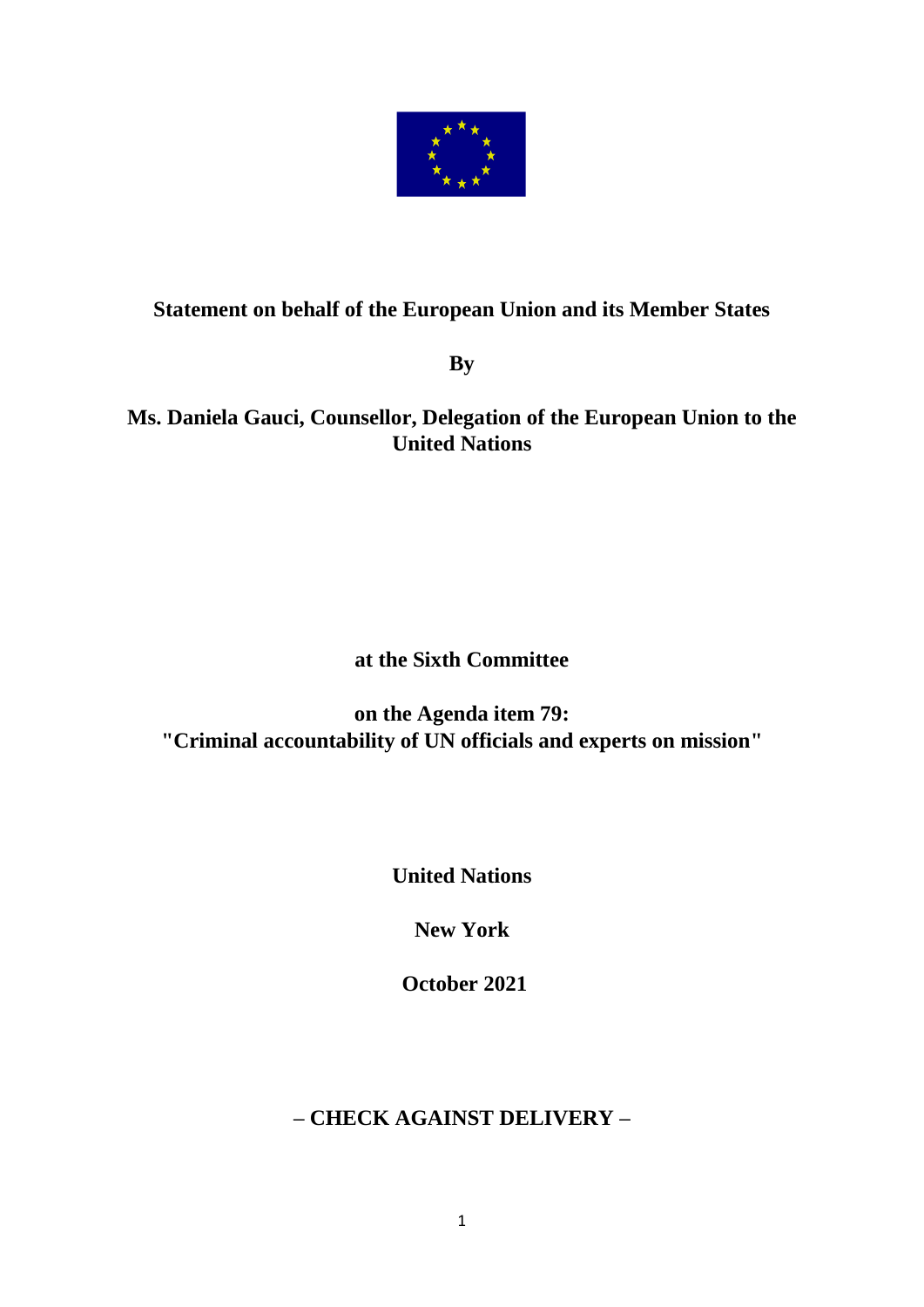

# **Statement on behalf of the European Union and its Member States**

**By** 

### **Ms. Daniela Gauci, Counsellor, Delegation of the European Union to the United Nations**

# **at the Sixth Committee**

### **on the Agenda item 79: "Criminal accountability of UN officials and experts on mission"**

**United Nations**

**New York**

**October 2021**

# **– CHECK AGAINST DELIVERY –**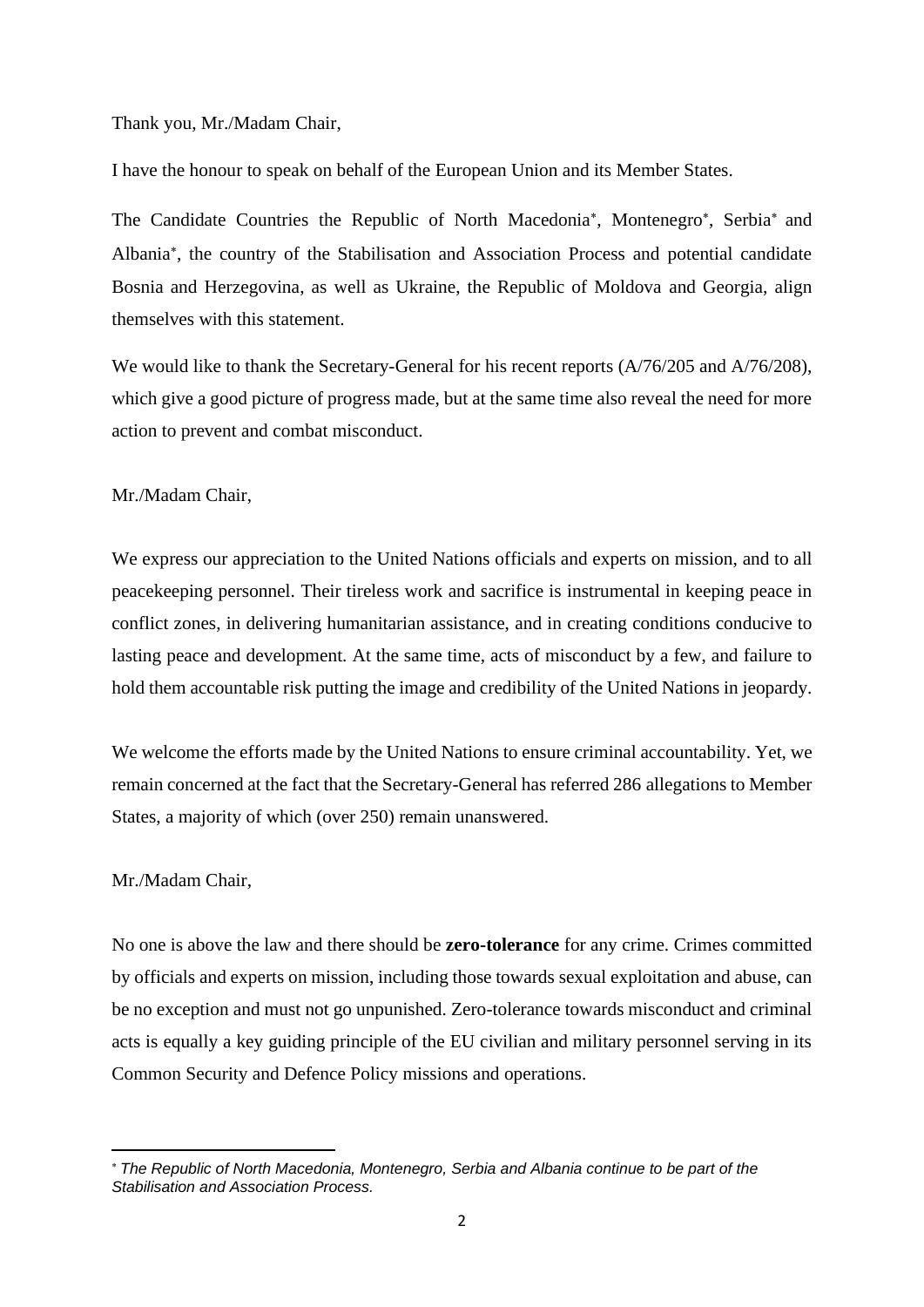Thank you, Mr./Madam Chair,

I have the honour to speak on behalf of the European Union and its Member States.

The Candidate Countries the Republic of North Macedonia\*, Montenegro\*, Serbia\* and Albania , the country of the Stabilisation and Association Process and potential candidate Bosnia and Herzegovina, as well as Ukraine, the Republic of Moldova and Georgia, align themselves with this statement.

We would like to thank the Secretary-General for his recent reports  $(A/76/205$  and  $A/76/208$ ), which give a good picture of progress made, but at the same time also reveal the need for more action to prevent and combat misconduct.

Mr./Madam Chair,

We express our appreciation to the United Nations officials and experts on mission, and to all peacekeeping personnel. Their tireless work and sacrifice is instrumental in keeping peace in conflict zones, in delivering humanitarian assistance, and in creating conditions conducive to lasting peace and development. At the same time, acts of misconduct by a few, and failure to hold them accountable risk putting the image and credibility of the United Nations in jeopardy.

We welcome the efforts made by the United Nations to ensure criminal accountability. Yet, we remain concerned at the fact that the Secretary-General has referred 286 allegations to Member States, a majority of which (over 250) remain unanswered.

Mr./Madam Chair,

No one is above the law and there should be **zero-tolerance** for any crime. Crimes committed by officials and experts on mission, including those towards sexual exploitation and abuse, can be no exception and must not go unpunished. Zero-tolerance towards misconduct and criminal acts is equally a key guiding principle of the EU civilian and military personnel serving in its Common Security and Defence Policy missions and operations.

*The Republic of North Macedonia, Montenegro, Serbia and Albania continue to be part of the Stabilisation and Association Process.*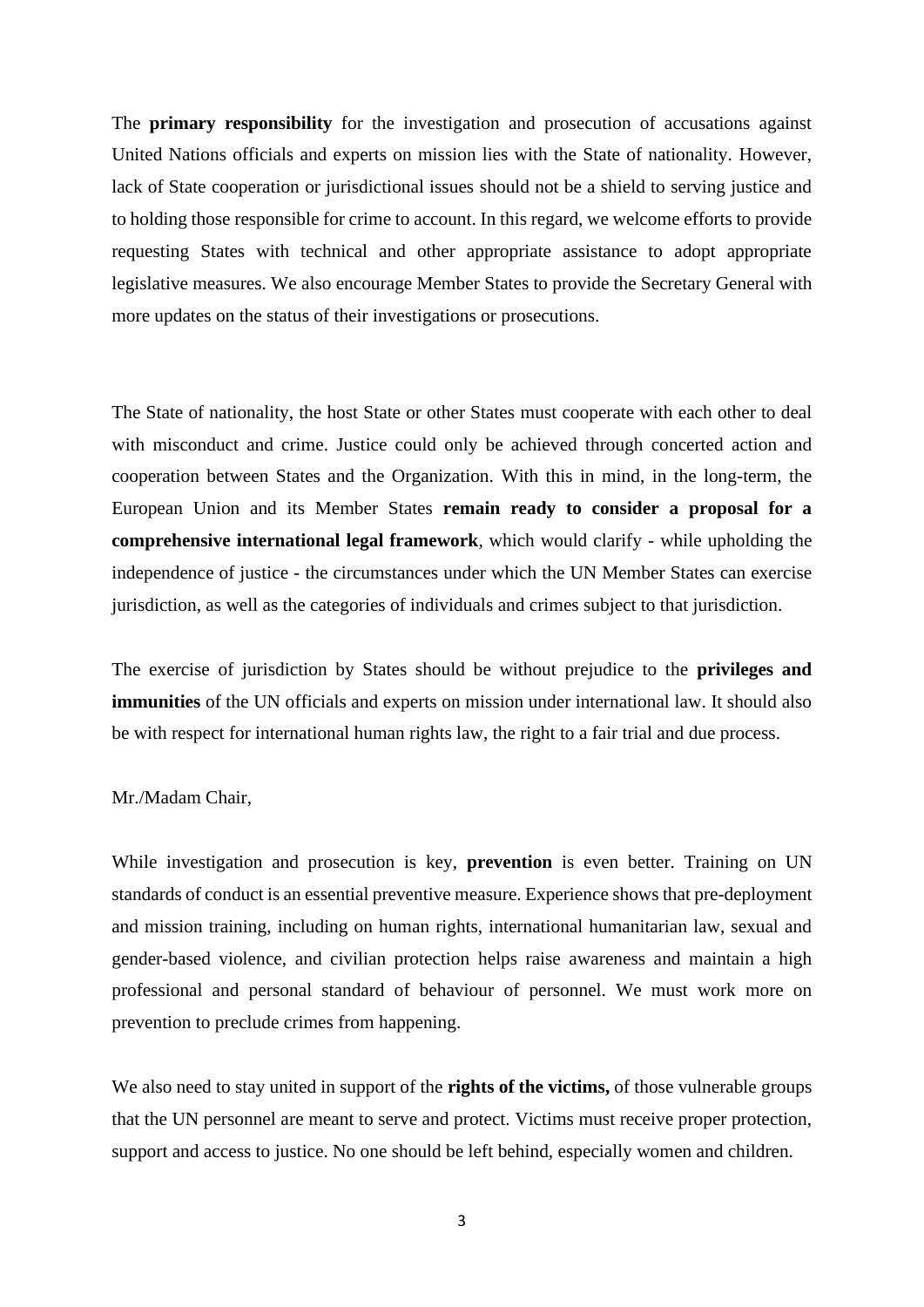The **primary responsibility** for the investigation and prosecution of accusations against United Nations officials and experts on mission lies with the State of nationality. However, lack of State cooperation or jurisdictional issues should not be a shield to serving justice and to holding those responsible for crime to account. In this regard, we welcome efforts to provide requesting States with technical and other appropriate assistance to adopt appropriate legislative measures. We also encourage Member States to provide the Secretary General with more updates on the status of their investigations or prosecutions.

The State of nationality, the host State or other States must cooperate with each other to deal with misconduct and crime. Justice could only be achieved through concerted action and cooperation between States and the Organization. With this in mind, in the long-term, the European Union and its Member States **remain ready to consider a proposal for a comprehensive international legal framework**, which would clarify - while upholding the independence of justice - the circumstances under which the UN Member States can exercise jurisdiction, as well as the categories of individuals and crimes subject to that jurisdiction.

The exercise of jurisdiction by States should be without prejudice to the **privileges and immunities** of the UN officials and experts on mission under international law. It should also be with respect for international human rights law, the right to a fair trial and due process.

#### Mr./Madam Chair,

While investigation and prosecution is key, **prevention** is even better. Training on UN standards of conduct is an essential preventive measure. Experience shows that pre-deployment and mission training, including on human rights, international humanitarian law, sexual and gender-based violence, and civilian protection helps raise awareness and maintain a high professional and personal standard of behaviour of personnel. We must work more on prevention to preclude crimes from happening.

We also need to stay united in support of the **rights of the victims,** of those vulnerable groups that the UN personnel are meant to serve and protect. Victims must receive proper protection, support and access to justice. No one should be left behind, especially women and children.

3